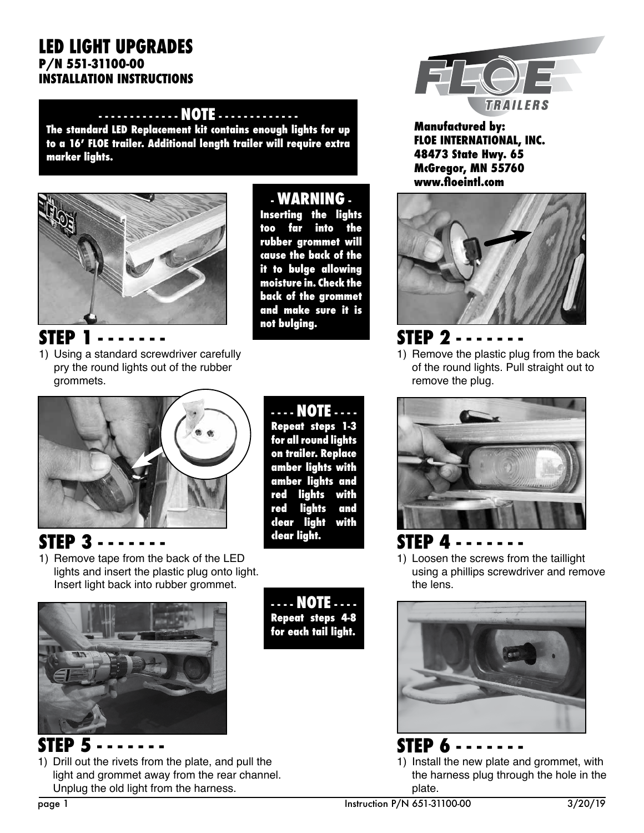#### **LED LIGHT UPGRADES P/N 551-31100-00 INSTALLATION INSTRUCTIONS**

#### **- - - - - - - - - - - - - NOTE - - - - - - - - - - - - -**

**The standard LED Replacement kit contains enough lights for up to a 16' FLOE trailer. Additional length trailer will require extra marker lights.**



**STEP 1 - - - - - - -** 

1) Using a standard screwdriver carefully pry the round lights out of the rubber grommets.

**- WARNING -** 

**Inserting the lights too far into the rubber grommet will cause the back of the it to bulge allowing moisture in. Check the back of the grommet and make sure it is not bulging.**



**Manufactured by: FLOE INTERNATIONAL, INC. 48473 State Hwy. 65 McGregor, MN 55760 www.floeintl.com**



### **STEP 2 - - - - - - -**

1) Remove the plastic plug from the back of the round lights. Pull straight out to remove the plug.



**STEP 3 - - - - - - -** 

1) Remove tape from the back of the LED lights and insert the plastic plug onto light. Insert light back into rubber grommet.



**STEP 5 - - - - - - -**  1) Drill out the rivets from the plate, and pull the light and grommet away from the rear channel. Unplug the old light from the harness.

**- - - - NOTE - - - - Repeat steps 1-3 for all round lights on trailer. Replace amber lights with amber lights and red lights with red lights and clear light with clear light.**

**- - - - NOTE - - - - Repeat steps 4-8 for each tail light.**



**STEP 4 - - - - - - -**  1) Loosen the screws from the taillight using a phillips screwdriver and remove the lens.



**STEP 6 - - - - - - -**  1) Install the new plate and grommet, with the harness plug through the hole in the plate.